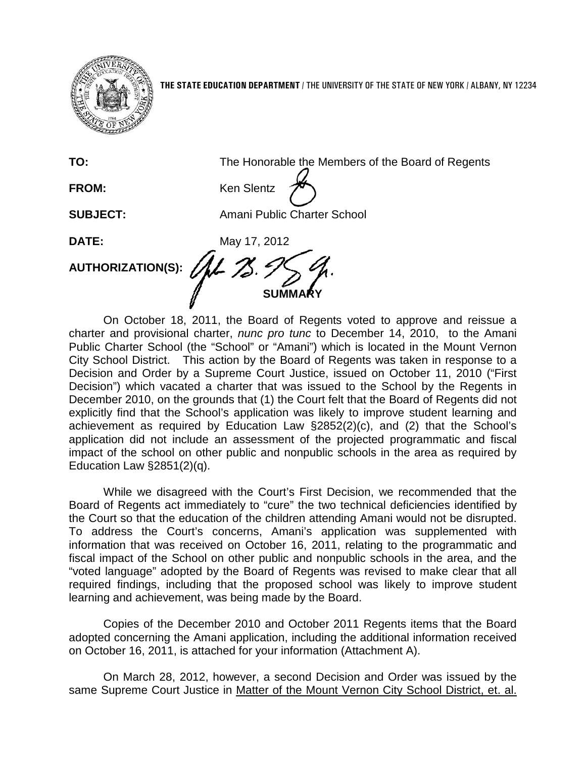

**THE STATE EDUCATION DEPARTMENT** / THE UNIVERSITY OF THE STATE OF NEW YORK / ALBANY, NY 12234

**TO:** The Honorable the Members of the Board of Regents

FROM: Ken Slentz

**SUBJECT:** Amani Public Charter School

**DATE:** May 17, 2012

**AUTHORIZATION(S):**

**SUMMARY**

On October 18, 2011, the Board of Regents voted to approve and reissue a charter and provisional charter, *nunc pro tunc* to December 14, 2010, to the Amani Public Charter School (the "School" or "Amani") which is located in the Mount Vernon City School District. This action by the Board of Regents was taken in response to a Decision and Order by a Supreme Court Justice, issued on October 11, 2010 ("First Decision") which vacated a charter that was issued to the School by the Regents in December 2010, on the grounds that (1) the Court felt that the Board of Regents did not explicitly find that the School's application was likely to improve student learning and achievement as required by Education Law §2852(2)(c), and (2) that the School's application did not include an assessment of the projected programmatic and fiscal impact of the school on other public and nonpublic schools in the area as required by Education Law §2851(2)(q).

While we disagreed with the Court's First Decision, we recommended that the Board of Regents act immediately to "cure" the two technical deficiencies identified by the Court so that the education of the children attending Amani would not be disrupted. To address the Court's concerns, Amani's application was supplemented with information that was received on October 16, 2011, relating to the programmatic and fiscal impact of the School on other public and nonpublic schools in the area, and the "voted language" adopted by the Board of Regents was revised to make clear that all required findings, including that the proposed school was likely to improve student learning and achievement, was being made by the Board.

Copies of the December 2010 and October 2011 Regents items that the Board adopted concerning the Amani application, including the additional information received on October 16, 2011, is attached for your information (Attachment A).

On March 28, 2012, however, a second Decision and Order was issued by the same Supreme Court Justice in Matter of the Mount Vernon City School District, et. al.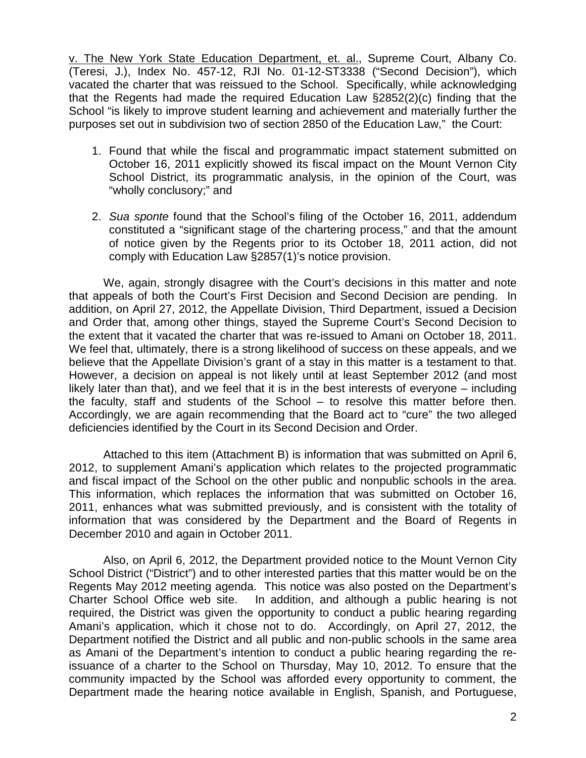v. The New York State Education Department, et. al., Supreme Court, Albany Co. (Teresi, J.), Index No. 457-12, RJI No. 01-12-ST3338 ("Second Decision"), which vacated the charter that was reissued to the School. Specifically, while acknowledging that the Regents had made the required Education Law §2852(2)(c) finding that the School "is likely to improve student learning and achievement and materially further the purposes set out in subdivision two of section 2850 of the Education Law," the Court:

- 1. Found that while the fiscal and programmatic impact statement submitted on October 16, 2011 explicitly showed its fiscal impact on the Mount Vernon City School District, its programmatic analysis, in the opinion of the Court, was "wholly conclusory;" and
- 2. *Sua sponte* found that the School's filing of the October 16, 2011, addendum constituted a "significant stage of the chartering process," and that the amount of notice given by the Regents prior to its October 18, 2011 action, did not comply with Education Law §2857(1)'s notice provision.

We, again, strongly disagree with the Court's decisions in this matter and note that appeals of both the Court's First Decision and Second Decision are pending. In addition, on April 27, 2012, the Appellate Division, Third Department, issued a Decision and Order that, among other things, stayed the Supreme Court's Second Decision to the extent that it vacated the charter that was re-issued to Amani on October 18, 2011. We feel that, ultimately, there is a strong likelihood of success on these appeals, and we believe that the Appellate Division's grant of a stay in this matter is a testament to that. However, a decision on appeal is not likely until at least September 2012 (and most likely later than that), and we feel that it is in the best interests of everyone – including the faculty, staff and students of the School – to resolve this matter before then. Accordingly, we are again recommending that the Board act to "cure" the two alleged deficiencies identified by the Court in its Second Decision and Order.

Attached to this item (Attachment B) is information that was submitted on April 6, 2012, to supplement Amani's application which relates to the projected programmatic and fiscal impact of the School on the other public and nonpublic schools in the area. This information, which replaces the information that was submitted on October 16, 2011, enhances what was submitted previously, and is consistent with the totality of information that was considered by the Department and the Board of Regents in December 2010 and again in October 2011.

Also, on April 6, 2012, the Department provided notice to the Mount Vernon City School District ("District") and to other interested parties that this matter would be on the Regents May 2012 meeting agenda. This notice was also posted on the Department's Charter School Office web site. In addition, and although a public hearing is not required, the District was given the opportunity to conduct a public hearing regarding Amani's application, which it chose not to do. Accordingly, on April 27, 2012, the Department notified the District and all public and non-public schools in the same area as Amani of the Department's intention to conduct a public hearing regarding the reissuance of a charter to the School on Thursday, May 10, 2012. To ensure that the community impacted by the School was afforded every opportunity to comment, the Department made the hearing notice available in English, Spanish, and Portuguese,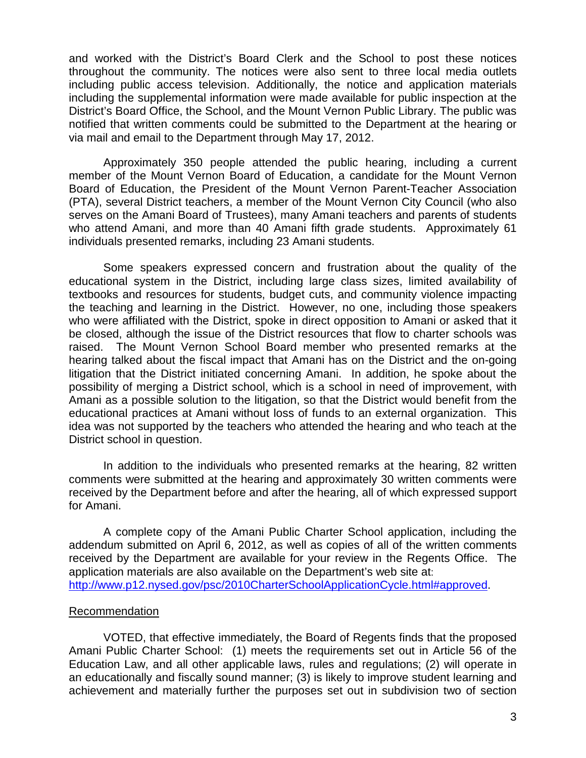and worked with the District's Board Clerk and the School to post these notices throughout the community. The notices were also sent to three local media outlets including public access television. Additionally, the notice and application materials including the supplemental information were made available for public inspection at the District's Board Office, the School, and the Mount Vernon Public Library. The public was notified that written comments could be submitted to the Department at the hearing or via mail and email to the Department through May 17, 2012.

Approximately 350 people attended the public hearing, including a current member of the Mount Vernon Board of Education, a candidate for the Mount Vernon Board of Education, the President of the Mount Vernon Parent-Teacher Association (PTA), several District teachers, a member of the Mount Vernon City Council (who also serves on the Amani Board of Trustees), many Amani teachers and parents of students who attend Amani, and more than 40 Amani fifth grade students. Approximately 61 individuals presented remarks, including 23 Amani students.

Some speakers expressed concern and frustration about the quality of the educational system in the District, including large class sizes, limited availability of textbooks and resources for students, budget cuts, and community violence impacting the teaching and learning in the District. However, no one, including those speakers who were affiliated with the District, spoke in direct opposition to Amani or asked that it be closed, although the issue of the District resources that flow to charter schools was raised. The Mount Vernon School Board member who presented remarks at the hearing talked about the fiscal impact that Amani has on the District and the on-going litigation that the District initiated concerning Amani. In addition, he spoke about the possibility of merging a District school, which is a school in need of improvement, with Amani as a possible solution to the litigation, so that the District would benefit from the educational practices at Amani without loss of funds to an external organization. This idea was not supported by the teachers who attended the hearing and who teach at the District school in question.

In addition to the individuals who presented remarks at the hearing, 82 written comments were submitted at the hearing and approximately 30 written comments were received by the Department before and after the hearing, all of which expressed support for Amani.

A complete copy of the Amani Public Charter School application, including the addendum submitted on April 6, 2012, as well as copies of all of the written comments received by the Department are available for your review in the Regents Office. The application materials are also available on the Department's web site at: [http://www.p12.nysed.gov/psc/2010CharterSchoolApplicationCycle.html#approved.](http://www.p12.nysed.gov/psc/2010CharterSchoolApplicationCycle.html#approved)

## Recommendation

VOTED, that effective immediately, the Board of Regents finds that the proposed Amani Public Charter School: (1) meets the requirements set out in Article 56 of the Education Law, and all other applicable laws, rules and regulations; (2) will operate in an educationally and fiscally sound manner; (3) is likely to improve student learning and achievement and materially further the purposes set out in subdivision two of section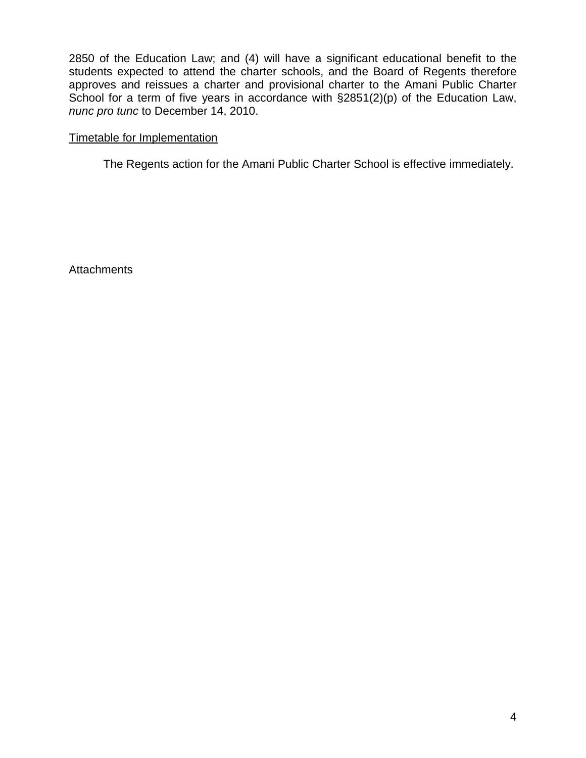2850 of the Education Law; and (4) will have a significant educational benefit to the students expected to attend the charter schools, and the Board of Regents therefore approves and reissues a charter and provisional charter to the Amani Public Charter School for a term of five years in accordance with  $\S 2851(2)(p)$  of the Education Law, *nunc pro tunc* to December 14, 2010.

## Timetable for Implementation

The Regents action for the Amani Public Charter School is effective immediately.

**Attachments**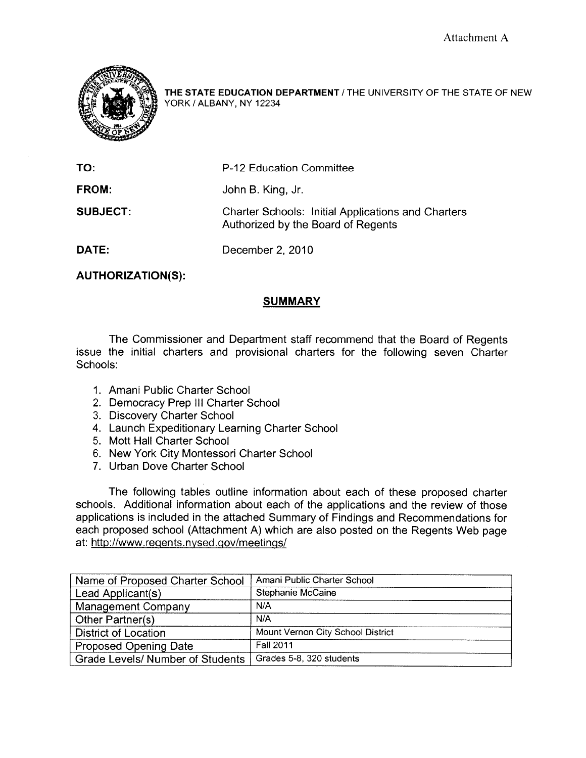

THE STATE EDUCATION DEPARTMENT / THE UNIVERSITY OF THE STATE OF NEW YORK / ALBANY, NY 12234

| TO:             | P-12 Education Committee                                                                        |
|-----------------|-------------------------------------------------------------------------------------------------|
| <b>FROM:</b>    | John B. King, Jr.                                                                               |
| <b>SUBJECT:</b> | <b>Charter Schools: Initial Applications and Charters</b><br>Authorized by the Board of Regents |
| DATE:           | December 2, 2010                                                                                |

**AUTHORIZATION(S):** 

## **SUMMARY**

The Commissioner and Department staff recommend that the Board of Regents issue the initial charters and provisional charters for the following seven Charter Schools:

- 1. Amani Public Charter School
- 2. Democracy Prep III Charter School
- 3. Discovery Charter School
- 4. Launch Expeditionary Learning Charter School
- 5. Mott Hall Charter School
- 6. New York City Montessori Charter School
- 7. Urban Dove Charter School

The following tables outline information about each of these proposed charter schools. Additional information about each of the applications and the review of those applications is included in the attached Summary of Findings and Recommendations for each proposed school (Attachment A) which are also posted on the Regents Web page at: http://www.regents.nysed.gov/meetings/

| Name of Proposed Charter School  | Amani Public Charter School       |
|----------------------------------|-----------------------------------|
| Lead Applicant(s)                | Stephanie McCaine                 |
| Management Company               | N/A                               |
| Other Partner(s)                 | N/A                               |
| <b>District of Location</b>      | Mount Vernon City School District |
| <b>Proposed Opening Date</b>     | <b>Fall 2011</b>                  |
| Grade Levels/ Number of Students | Grades 5-8, 320 students          |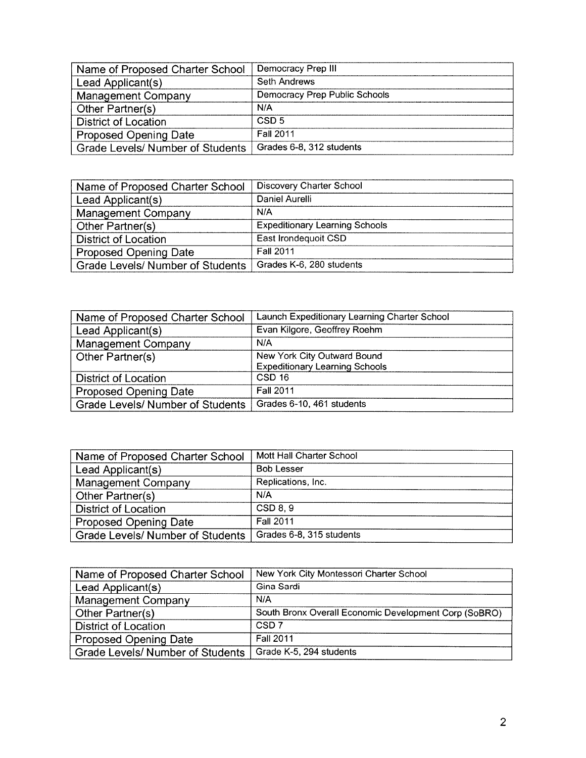| Name of Proposed Charter School         | Democracy Prep III            |
|-----------------------------------------|-------------------------------|
| Lead Applicant(s)                       | Seth Andrews                  |
| <b>Management Company</b>               | Democracy Prep Public Schools |
| Other Partner(s)                        | N/A                           |
| <b>District of Location</b>             | CSD <sub>5</sub>              |
| <b>Proposed Opening Date</b>            | <b>Fall 2011</b>              |
| <b>Grade Levels/ Number of Students</b> | Grades 6-8, 312 students      |

| Name of Proposed Charter School  | Discovery Charter School              |
|----------------------------------|---------------------------------------|
| Lead Applicant(s)                | Daniel Aurelli                        |
| <b>Management Company</b>        | N/A                                   |
| Other Partner(s)                 | <b>Expeditionary Learning Schools</b> |
| <b>District of Location</b>      | East Irondequoit CSD                  |
| <b>Proposed Opening Date</b>     | <b>Fall 2011</b>                      |
| Grade Levels/ Number of Students | Grades K-6, 280 students              |

| Name of Proposed Charter School         | Launch Expeditionary Learning Charter School |
|-----------------------------------------|----------------------------------------------|
| Lead Applicant(s)                       | Evan Kilgore, Geoffrey Roehm                 |
| Management Company                      | N/A                                          |
| Other Partner(s)                        | New York City Outward Bound                  |
|                                         | <b>Expeditionary Learning Schools</b>        |
| <b>District of Location</b>             | CSD <sub>16</sub>                            |
| Proposed Opening Date                   | <b>Fall 2011</b>                             |
| <b>Grade Levels/ Number of Students</b> | Grades 6-10, 461 students                    |

| Name of Proposed Charter School         | Mott Hall Charter School |
|-----------------------------------------|--------------------------|
| Lead Applicant(s)                       | <b>Bob Lesser</b>        |
| <b>Management Company</b>               | Replications, Inc.       |
| Other Partner(s)                        | N/A                      |
| <b>District of Location</b>             | CSD 8, 9                 |
| <b>Proposed Opening Date</b>            | <b>Fall 2011</b>         |
| <b>Grade Levels/ Number of Students</b> | Grades 6-8, 315 students |

| Name of Proposed Charter School  | New York City Montessori Charter School               |
|----------------------------------|-------------------------------------------------------|
| Lead Applicant(s)                | Gina Sardi                                            |
| Management Company               | N/A                                                   |
| Other Partner(s)                 | South Bronx Overall Economic Development Corp (SoBRO) |
| <b>District of Location</b>      | CSD <sub>7</sub>                                      |
| <b>Proposed Opening Date</b>     | <b>Fall 2011</b>                                      |
| Grade Levels/ Number of Students | Grade K-5, 294 students                               |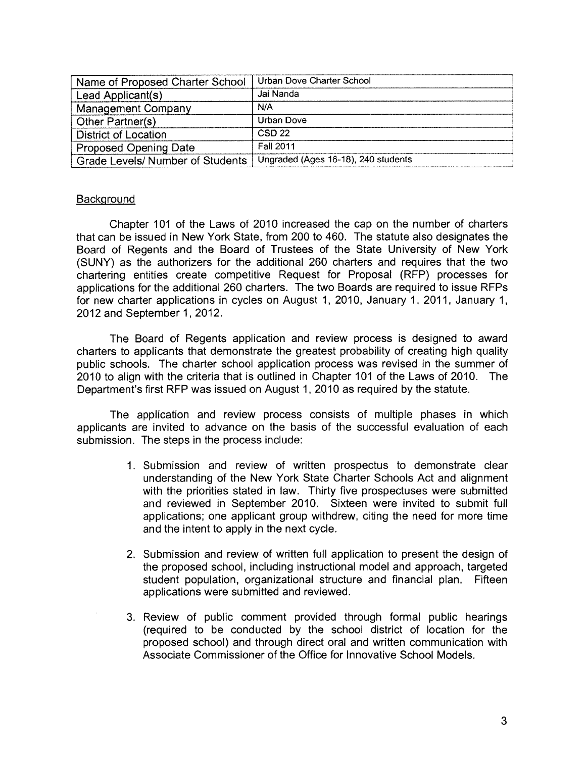| Name of Proposed Charter School         | Urban Dove Charter School           |
|-----------------------------------------|-------------------------------------|
| Lead Applicant(s)                       | Jai Nanda                           |
| <b>Management Company</b>               | N/A                                 |
| Other Partner(s)                        | Urban Dove                          |
| <b>District of Location</b>             | CSD 22                              |
| <b>Proposed Opening Date</b>            | <b>Fall 2011</b>                    |
| <b>Grade Levels/ Number of Students</b> | Ungraded (Ages 16-18), 240 students |

## Background

Chapter 101 of the Laws of 2010 increased the cap on the number of charters that can be issued in New York State, from 200 to 460. The statute also designates the Board of Regents and the Board of Trustees of the State University of New York (SUNY) as the authorizers for the additional 260 charters and requires that the two chartering entities create competitive Request for Proposal (RFP) processes for applications for the additional 260 charters. The two Boards are required to issue RFPs for new charter applications in cycles on August 1, 2010, January 1, 2011, January 1, 2012 and September 1, 2012.

The Board of Regents application and review process is designed to award charters to applicants that demonstrate the greatest probability of creating high quality public schools. The charter school application process was revised in the summer of 2010 to align with the criteria that is outlined in Chapter 101 of the Laws of 2010. The Department's first RFP was issued on August 1, 2010 as required by the statute.

The application and review process consists of multiple phases in which applicants are invited to advance on the basis of the successful evaluation of each submission. The steps in the process include:

- 1. Submission and review of written prospectus to demonstrate clear understanding of the New York State Charter Schools Act and alignment with the priorities stated in law. Thirty five prospectuses were submitted and reviewed in September 2010. Sixteen were invited to submit full applications; one applicant group withdrew, citing the need for more time and the intent to apply in the next cycle.
- 2. Submission and review of written full application to present the design of the proposed school, including instructional model and approach, targeted student population, organizational structure and financial plan. Fifteen applications were submitted and reviewed.
- 3. Review of public comment provided through formal public hearings (required to be conducted by the school district of location for the proposed school) and through direct oral and written communication with Associate Commissioner of the Office for Innovative School Models.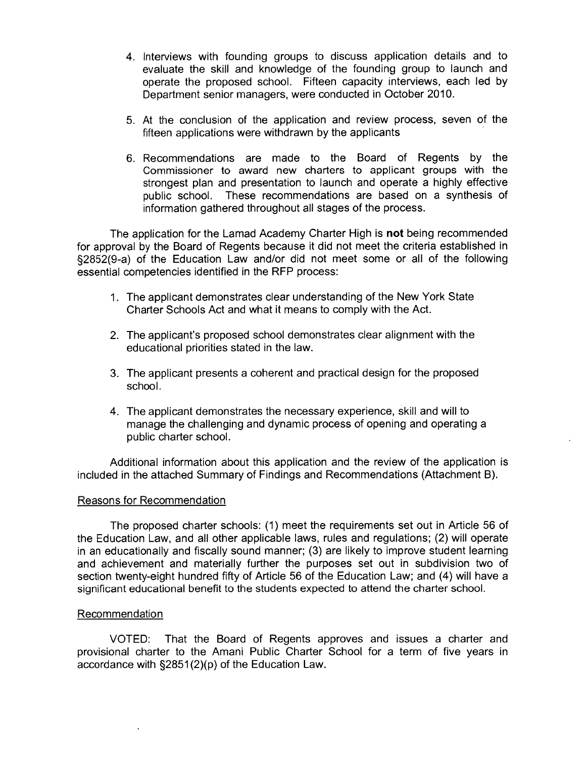- 4. Interviews with founding groups to discuss application details and to evaluate the skill and knowledge of the founding group to launch and operate the proposed school. Fifteen capacity interviews, each led by Department senior managers, were conducted in October 2010.
- 5. At the conclusion of the application and review process, seven of the fifteen applications were withdrawn by the applicants
- 6. Recommendations are made to the Board of Regents by the Commissioner to award new charters to applicant groups with the strongest plan and presentation to launch and operate a highly effective public school. These recommendations are based on a synthesis of information gathered throughout all stages of the process.

The application for the Lamad Academy Charter High is not being recommended for approval by the Board of Regents because it did not meet the criteria established in §2852(9-a) of the Education Law and/or did not meet some or all of the following essential competencies identified in the RFP process:

- 1. The applicant demonstrates clear understanding of the New York State Charter Schools Act and what it means to comply with the Act.
- 2. The applicant's proposed school demonstrates clear alignment with the educational priorities stated in the law.
- 3. The applicant presents a coherent and practical design for the proposed school.
- 4. The applicant demonstrates the necessary experience, skill and will to manage the challenging and dynamic process of opening and operating a public charter school.

Additional information about this application and the review of the application is included in the attached Summary of Findings and Recommendations (Attachment B).

## **Reasons for Recommendation**

The proposed charter schools: (1) meet the requirements set out in Article 56 of the Education Law, and all other applicable laws, rules and regulations; (2) will operate in an educationally and fiscally sound manner; (3) are likely to improve student learning and achievement and materially further the purposes set out in subdivision two of section twenty-eight hundred fifty of Article 56 of the Education Law; and (4) will have a significant educational benefit to the students expected to attend the charter school.

## Recommendation

VOTED: That the Board of Regents approves and issues a charter and provisional charter to the Amani Public Charter School for a term of five years in accordance with §2851(2)(p) of the Education Law.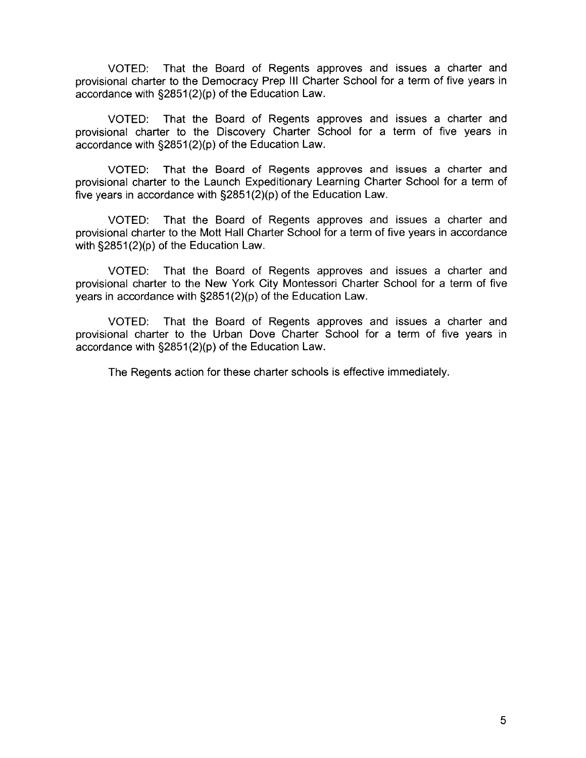That the Board of Regents approves and issues a charter and VOTED: provisional charter to the Democracy Prep III Charter School for a term of five years in accordance with §2851(2)(p) of the Education Law.

That the Board of Regents approves and issues a charter and VOTED: provisional charter to the Discovery Charter School for a term of five years in accordance with §2851(2)(p) of the Education Law.

That the Board of Regents approves and issues a charter and VOTED: provisional charter to the Launch Expeditionary Learning Charter School for a term of five years in accordance with §2851(2)(p) of the Education Law.

That the Board of Regents approves and issues a charter and VOTED: provisional charter to the Mott Hall Charter School for a term of five years in accordance with  $\S 2851(2)(p)$  of the Education Law.

That the Board of Regents approves and issues a charter and VOTED: provisional charter to the New York City Montessori Charter School for a term of five years in accordance with §2851(2)(p) of the Education Law.

That the Board of Regents approves and issues a charter and VOTED: provisional charter to the Urban Dove Charter School for a term of five years in accordance with §2851(2)(p) of the Education Law.

The Regents action for these charter schools is effective immediately.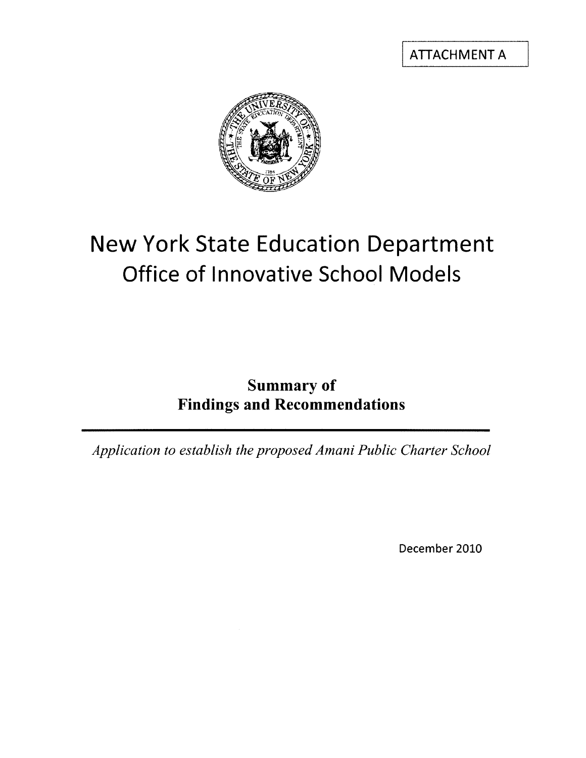**ATTACHMENT A** 



# **New York State Education Department** Office of Innovative School Models

## **Summary of Findings and Recommendations**

Application to establish the proposed Amani Public Charter School

December 2010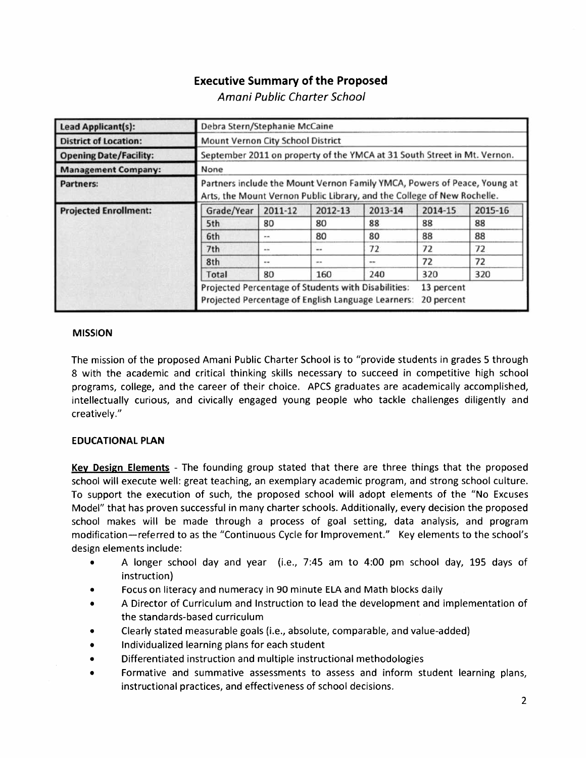## **Executive Summary of the Proposed**

Amani Public Charter School

| Lead Applicant(s):            | Debra Stern/Stephanie McCaine                                                                                                                       |         |         |         |                          |         |
|-------------------------------|-----------------------------------------------------------------------------------------------------------------------------------------------------|---------|---------|---------|--------------------------|---------|
| <b>District of Location:</b>  | Mount Vernon City School District                                                                                                                   |         |         |         |                          |         |
| <b>Opening Date/Facility:</b> | September 2011 on property of the YMCA at 31 South Street in Mt. Vernon.                                                                            |         |         |         |                          |         |
| <b>Management Company:</b>    | None                                                                                                                                                |         |         |         |                          |         |
| <b>Partners:</b>              | Partners include the Mount Vernon Family YMCA, Powers of Peace, Young at<br>Arts, the Mount Vernon Public Library, and the College of New Rochelle. |         |         |         |                          |         |
| <b>Projected Enrollment:</b>  | Grade/Year                                                                                                                                          | 2011-12 | 2012-13 | 2013-14 | 2014-15                  | 2015-16 |
|                               | 5th                                                                                                                                                 | 80      | 80      | 88      | 88                       | 88      |
|                               | 6th                                                                                                                                                 | $m =$   | 80      | 80      | 88                       | 88      |
|                               | 7th                                                                                                                                                 | $-1$    | --      | 72      | 72                       | 72      |
|                               | 8th                                                                                                                                                 | $-1$    | $-$     | $***$   | 72                       | 72      |
|                               | <b>Total</b>                                                                                                                                        | 80      | 160     | 240     | 320                      | 320     |
|                               | Projected Percentage of Students with Disabilities:<br>Projected Percentage of English Language Learners:                                           |         |         |         | 13 percent<br>20 percent |         |

#### **MISSION**

The mission of the proposed Amani Public Charter School is to "provide students in grades 5 through 8 with the academic and critical thinking skills necessary to succeed in competitive high school programs, college, and the career of their choice. APCS graduates are academically accomplished, intellectually curious, and civically engaged young people who tackle challenges diligently and creatively."

## **EDUCATIONAL PLAN**

Key Design Elements - The founding group stated that there are three things that the proposed school will execute well: great teaching, an exemplary academic program, and strong school culture. To support the execution of such, the proposed school will adopt elements of the "No Excuses" Model" that has proven successful in many charter schools. Additionally, every decision the proposed school makes will be made through a process of goal setting, data analysis, and program modification—referred to as the "Continuous Cycle for Improvement." Key elements to the school's design elements include:

- A longer school day and year (i.e., 7:45 am to 4:00 pm school day, 195 days of  $\bullet$ instruction)
- Focus on literacy and numeracy in 90 minute ELA and Math blocks daily
- A Director of Curriculum and Instruction to lead the development and implementation of the standards-based curriculum
- Clearly stated measurable goals (i.e., absolute, comparable, and value-added)
- Individualized learning plans for each student
- Differentiated instruction and multiple instructional methodologies
- Formative and summative assessments to assess and inform student learning plans, instructional practices, and effectiveness of school decisions.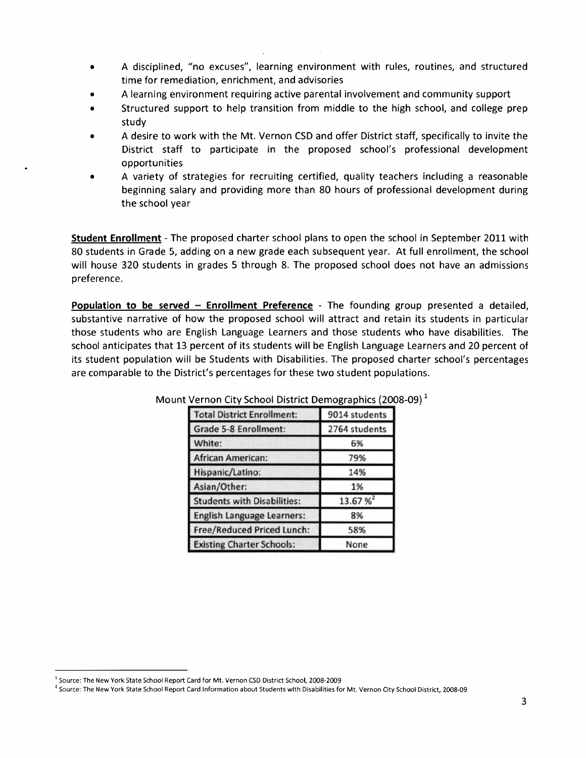- A disciplined, "no excuses", learning environment with rules, routines, and structured time for remediation, enrichment, and advisories
- A learning environment requiring active parental involvement and community support
- Structured support to help transition from middle to the high school, and college prep study
- A desire to work with the Mt. Vernon CSD and offer District staff, specifically to invite the District staff to participate in the proposed school's professional development opportunities
- A variety of strategies for recruiting certified, quality teachers including a reasonable beginning salary and providing more than 80 hours of professional development during the school year

Student Enrollment - The proposed charter school plans to open the school in September 2011 with 80 students in Grade 5, adding on a new grade each subsequent year. At full enrollment, the school will house 320 students in grades 5 through 8. The proposed school does not have an admissions preference.

Population to be served - Enrollment Preference - The founding group presented a detailed, substantive narrative of how the proposed school will attract and retain its students in particular those students who are English Language Learners and those students who have disabilities. The school anticipates that 13 percent of its students will be English Language Learners and 20 percent of its student population will be Students with Disabilities. The proposed charter school's percentages are comparable to the District's percentages for these two student populations.

| <b>Total District Enrollment:</b>  | 9014 students |
|------------------------------------|---------------|
| <b>Grade 5-8 Enrollment:</b>       | 2764 students |
| White:                             | 6%            |
| <b>African American:</b>           | 79%           |
| Hispanic/Latino:                   | 14%           |
| Asian/Other:                       | 1%            |
| <b>Students with Disabilities:</b> | 13.67%        |
| <b>English Language Learners:</b>  | 8%            |
| <b>Free/Reduced Priced Lunch:</b>  | 58%           |
| <b>Existing Charter Schools:</b>   | None          |

Mount Vernon City School District Demographics (2008-09)<sup>1</sup>

<sup>&</sup>lt;sup>1</sup> Source: The New York State School Report Card for Mt. Vernon CSD District School, 2008-2009

<sup>&</sup>lt;sup>2</sup> Source: The New York State School Report Card Information about Students with Disabilities for Mt. Vernon City School District, 2008-09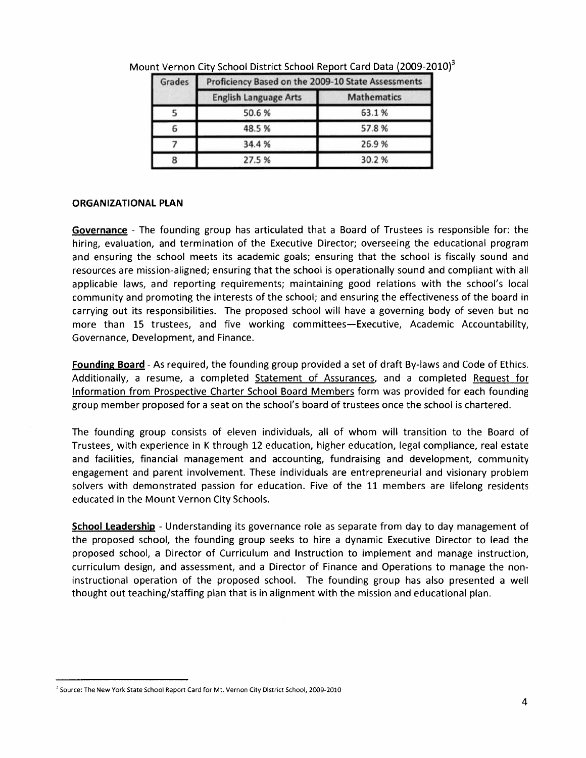| Grades | Proficiency Based on the 2009-10 State Assessments |                    |  |  |
|--------|----------------------------------------------------|--------------------|--|--|
|        | <b>English Language Arts</b>                       | <b>Mathematics</b> |  |  |
|        | 50.6%                                              | 63.1%              |  |  |
| 6      | 48.5 %                                             | 57.8%              |  |  |
|        | 34.4%                                              | 26.9%              |  |  |
| 8      | 27.5 %                                             | 30.2%              |  |  |

Mount Vernon City School District School Report Card Data (2009-2010)<sup>3</sup>

## **ORGANIZATIONAL PLAN**

Governance - The founding group has articulated that a Board of Trustees is responsible for: the hiring, evaluation, and termination of the Executive Director; overseeing the educational program and ensuring the school meets its academic goals; ensuring that the school is fiscally sound and resources are mission-aligned; ensuring that the school is operationally sound and compliant with all applicable laws, and reporting requirements; maintaining good relations with the school's local community and promoting the interests of the school; and ensuring the effectiveness of the board in carrying out its responsibilities. The proposed school will have a governing body of seven but no more than 15 trustees, and five working committees—Executive, Academic Accountability, Governance, Development, and Finance.

Founding Board - As required, the founding group provided a set of draft By-laws and Code of Ethics. Additionally, a resume, a completed Statement of Assurances, and a completed Request for Information from Prospective Charter School Board Members form was provided for each founding group member proposed for a seat on the school's board of trustees once the school is chartered.

The founding group consists of eleven individuals, all of whom will transition to the Board of Trustees, with experience in K through 12 education, higher education, legal compliance, real estate and facilities, financial management and accounting, fundraising and development, community engagement and parent involvement. These individuals are entrepreneurial and visionary problem solvers with demonstrated passion for education. Five of the 11 members are lifelong residents educated in the Mount Vernon City Schools.

School Leadership - Understanding its governance role as separate from day to day management of the proposed school, the founding group seeks to hire a dynamic Executive Director to lead the proposed school, a Director of Curriculum and Instruction to implement and manage instruction, curriculum design, and assessment, and a Director of Finance and Operations to manage the noninstructional operation of the proposed school. The founding group has also presented a well thought out teaching/staffing plan that is in alignment with the mission and educational plan.

<sup>&</sup>lt;sup>3</sup> Source: The New York State School Report Card for Mt. Vernon City District School, 2009-2010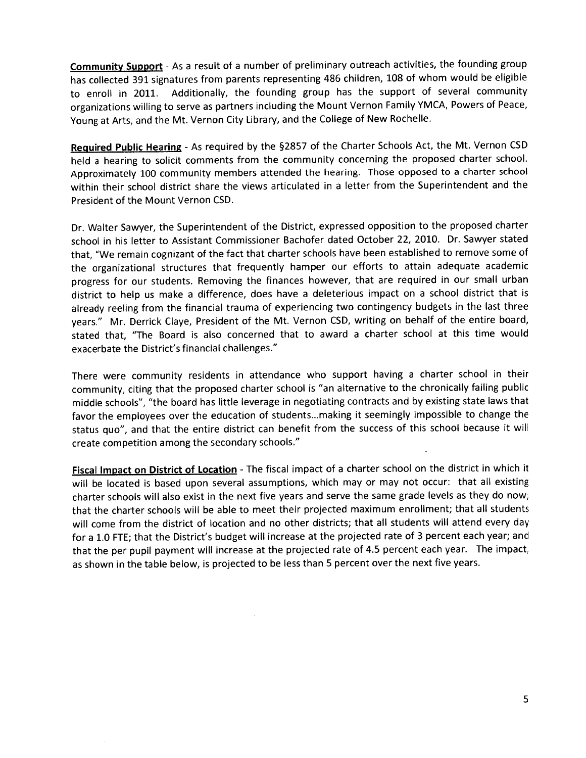Community Support - As a result of a number of preliminary outreach activities, the founding group has collected 391 signatures from parents representing 486 children, 108 of whom would be eligible to enroll in 2011. Additionally, the founding group has the support of several community organizations willing to serve as partners including the Mount Vernon Family YMCA, Powers of Peace, Young at Arts, and the Mt. Vernon City Library, and the College of New Rochelle.

Required Public Hearing - As required by the §2857 of the Charter Schools Act, the Mt. Vernon CSD held a hearing to solicit comments from the community concerning the proposed charter school. Approximately 100 community members attended the hearing. Those opposed to a charter school within their school district share the views articulated in a letter from the Superintendent and the President of the Mount Vernon CSD.

Dr. Walter Sawyer, the Superintendent of the District, expressed opposition to the proposed charter school in his letter to Assistant Commissioner Bachofer dated October 22, 2010. Dr. Sawyer stated that, "We remain cognizant of the fact that charter schools have been established to remove some of the organizational structures that frequently hamper our efforts to attain adequate academic progress for our students. Removing the finances however, that are required in our small urban district to help us make a difference, does have a deleterious impact on a school district that is already reeling from the financial trauma of experiencing two contingency budgets in the last three years." Mr. Derrick Claye, President of the Mt. Vernon CSD, writing on behalf of the entire board, stated that, "The Board is also concerned that to award a charter school at this time would exacerbate the District's financial challenges."

There were community residents in attendance who support having a charter school in their community, citing that the proposed charter school is "an alternative to the chronically failing public middle schools", "the board has little leverage in negotiating contracts and by existing state laws that favor the employees over the education of students...making it seemingly impossible to change the status quo", and that the entire district can benefit from the success of this school because it will create competition among the secondary schools."

Fiscal Impact on District of Location - The fiscal impact of a charter school on the district in which it will be located is based upon several assumptions, which may or may not occur: that all existing charter schools will also exist in the next five years and serve the same grade levels as they do now; that the charter schools will be able to meet their projected maximum enrollment; that all students will come from the district of location and no other districts; that all students will attend every day for a 1.0 FTE; that the District's budget will increase at the projected rate of 3 percent each year; and that the per pupil payment will increase at the projected rate of 4.5 percent each year. The impact, as shown in the table below, is projected to be less than 5 percent over the next five years.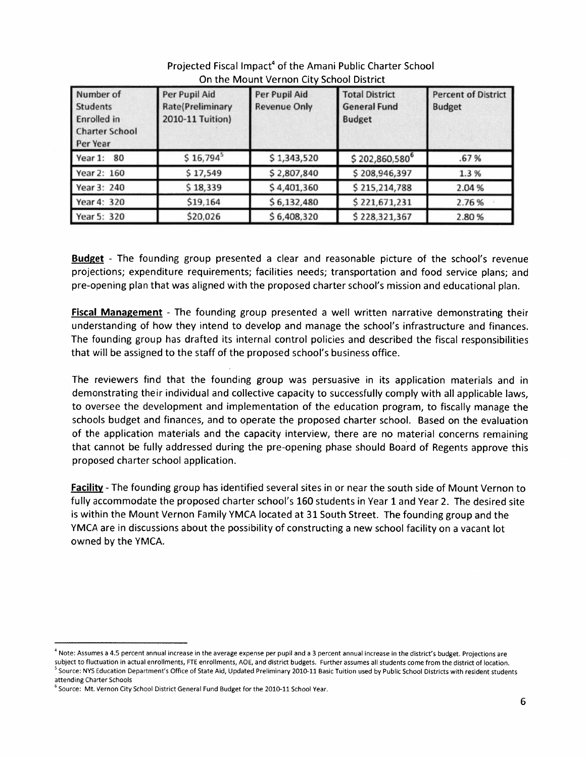| Number of<br><b>Students</b><br><b>Enrolled</b> in<br><b>Charter School</b><br>Per Year | Per Pupil Aid<br><b>Rate(Preliminary</b><br>2010-11 Tuition) | Per Pupil Aid<br><b>Revenue Only</b> | <b>Total District</b><br><b>General Fund</b><br><b>Budget</b> | <b>Percent of District</b><br><b>Budget</b> |
|-----------------------------------------------------------------------------------------|--------------------------------------------------------------|--------------------------------------|---------------------------------------------------------------|---------------------------------------------|
| Year 1: 80                                                                              | $$16,794$ <sup>5</sup>                                       | \$1,343,520                          | $$202,860,580$ <sup>6</sup>                                   | .67%                                        |
| Year 2: 160                                                                             | \$17,549                                                     | \$2,807,840                          | \$208,946,397                                                 | 1.3%                                        |
| Year 3: 240                                                                             | \$18,339                                                     | \$4,401,360                          | \$215,214,788                                                 | 2.04 %                                      |
| Year 4: 320                                                                             | \$19,164                                                     | \$6,132,480                          | \$221,671,231                                                 | 2.76%                                       |
| Year 5: 320                                                                             | \$20,026                                                     | \$6,408,320                          | \$228,321,367                                                 | 2.80%                                       |

## Projected Fiscal Impact<sup>4</sup> of the Amani Public Charter School On the Mount Vernon City School District

**Budget** - The founding group presented a clear and reasonable picture of the school's revenue projections; expenditure requirements; facilities needs; transportation and food service plans; and pre-opening plan that was aligned with the proposed charter school's mission and educational plan.

Fiscal Management - The founding group presented a well written narrative demonstrating their understanding of how they intend to develop and manage the school's infrastructure and finances. The founding group has drafted its internal control policies and described the fiscal responsibilities that will be assigned to the staff of the proposed school's business office.

The reviewers find that the founding group was persuasive in its application materials and in demonstrating their individual and collective capacity to successfully comply with all applicable laws. to oversee the development and implementation of the education program, to fiscally manage the schools budget and finances, and to operate the proposed charter school. Based on the evaluation of the application materials and the capacity interview, there are no material concerns remaining that cannot be fully addressed during the pre-opening phase should Board of Regents approve this proposed charter school application.

**Facility** - The founding group has identified several sites in or near the south side of Mount Vernon to fully accommodate the proposed charter school's 160 students in Year 1 and Year 2. The desired site is within the Mount Vernon Family YMCA located at 31 South Street. The founding group and the YMCA are in discussions about the possibility of constructing a new school facility on a vacant lot owned by the YMCA.

<sup>&</sup>lt;sup>4</sup> Note: Assumes a 4.5 percent annual increase in the average expense per pupil and a 3 percent annual increase in the district's budget. Projections are subject to fluctuation in actual enrollments, FTE enrollments, AOE, and district budgets. Further assumes all students come from the district of location. Source: NYS Education Department's Office of State Aid, Updated Preliminary 2010-11 Basic Tuition used by Public School Districts with resident students attending Charter Schools

<sup>&</sup>lt;sup>6</sup> Source: Mt. Vernon City School District General Fund Budget for the 2010-11 School Year.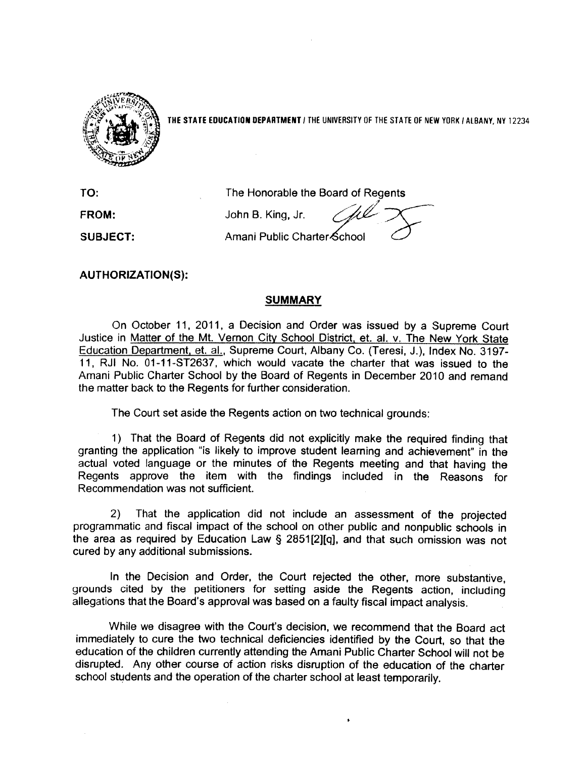

THE STATE EDUCATION DEPARTMENT / THE UNIVERSITY OF THE STATE OF NEW YORK / ALBANY, NY 12234

TO: FROM: **SUBJECT:**  The Honorable the Board of Regents John B. King, Jr. Amani Public Charter School

**AUTHORIZATION(S):** 

## **SUMMARY**

On October 11, 2011, a Decision and Order was issued by a Supreme Court Justice in Matter of the Mt. Vernon City School District, et. al. v. The New York State Education Department, et. al., Supreme Court, Albany Co. (Teresi, J.), Index No. 3197-11. RJI No. 01-11-ST2637, which would vacate the charter that was issued to the Amani Public Charter School by the Board of Regents in December 2010 and remand the matter back to the Regents for further consideration.

The Court set aside the Regents action on two technical grounds:

1) That the Board of Regents did not explicitly make the required finding that granting the application "is likely to improve student learning and achievement" in the actual voted language or the minutes of the Regents meeting and that having the Regents approve the item with the findings included in the Reasons for Recommendation was not sufficient.

That the application did not include an assessment of the projected  $(2)$ programmatic and fiscal impact of the school on other public and nonpublic schools in the area as required by Education Law § 2851[2][q], and that such omission was not cured by any additional submissions.

In the Decision and Order, the Court rejected the other, more substantive, grounds cited by the petitioners for setting aside the Regents action, including allegations that the Board's approval was based on a faulty fiscal impact analysis.

While we disagree with the Court's decision, we recommend that the Board act immediately to cure the two technical deficiencies identified by the Court, so that the education of the children currently attending the Amani Public Charter School will not be disrupted. Any other course of action risks disruption of the education of the charter school students and the operation of the charter school at least temporarily.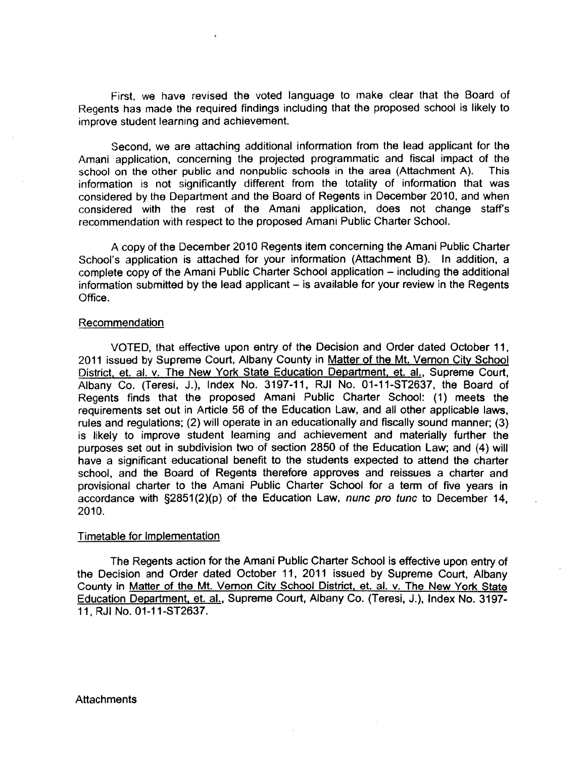First, we have revised the voted language to make clear that the Board of Regents has made the required findings including that the proposed school is likely to improve student learning and achievement.

Second, we are attaching additional information from the lead applicant for the Amani application, concerning the projected programmatic and fiscal impact of the school on the other public and nonpublic schools in the area (Attachment A). **This** information is not significantly different from the totality of information that was considered by the Department and the Board of Regents in December 2010, and when considered with the rest of the Amani application, does not change staff's recommendation with respect to the proposed Amani Public Charter School.

A copy of the December 2010 Regents item concerning the Amani Public Charter School's application is attached for your information (Attachment B). In addition, a complete copy of the Amani Public Charter School application – including the additional information submitted by the lead applicant - is available for your review in the Regents Office.

#### Recommendation

VOTED, that effective upon entry of the Decision and Order dated October 11. 2011 issued by Supreme Court, Albany County in Matter of the Mt. Vernon City School District, et. al. v. The New York State Education Department, et. al., Supreme Court, Albany Co. (Teresi, J.), Index No. 3197-11, RJI No. 01-11-ST2637, the Board of Regents finds that the proposed Amani Public Charter School: (1) meets the requirements set out in Article 56 of the Education Law, and all other applicable laws, rules and regulations; (2) will operate in an educationally and fiscally sound manner; (3) is likely to improve student learning and achievement and materially further the purposes set out in subdivision two of section 2850 of the Education Law; and (4) will have a significant educational benefit to the students expected to attend the charter school, and the Board of Regents therefore approves and reissues a charter and provisional charter to the Amani Public Charter School for a term of five years in accordance with §2851(2)(p) of the Education Law, nunc pro tunc to December 14, 2010.

#### Timetable for Implementation

The Regents action for the Amani Public Charter School is effective upon entry of the Decision and Order dated October 11, 2011 issued by Supreme Court, Albany County in Matter of the Mt. Vernon City School District, et. al. v. The New York State Education Department, et. al., Supreme Court, Albany Co. (Teresi, J.), Index No. 3197-11, RJI No. 01-11-ST2637.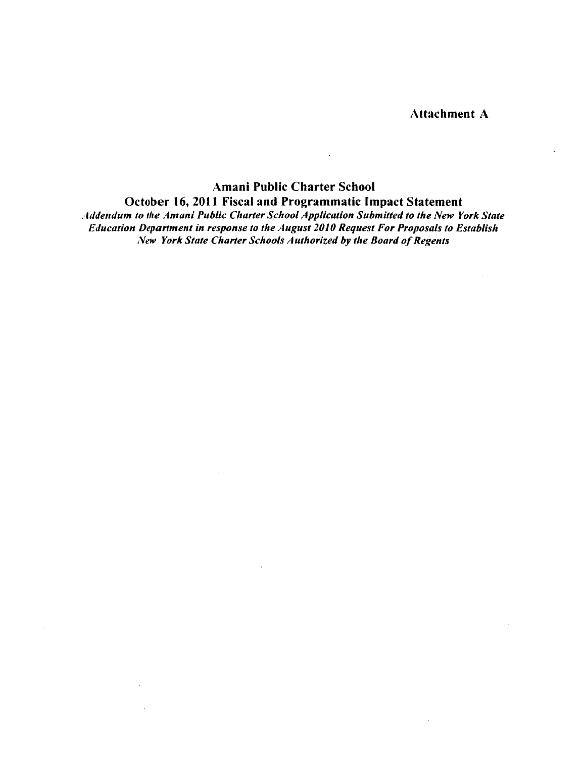**Attachment A** 

## Amani Public Charter School October 16, 2011 Fiscal and Programmatic Impact Statement

 $\bar{\mathcal{A}}$ 

Addendum to the Amani Public Charter School Application Submitted to the New York State Education Department in response to the August 2010 Request For Proposals to Establish New York State Charter Schools Authorized by the Board of Regents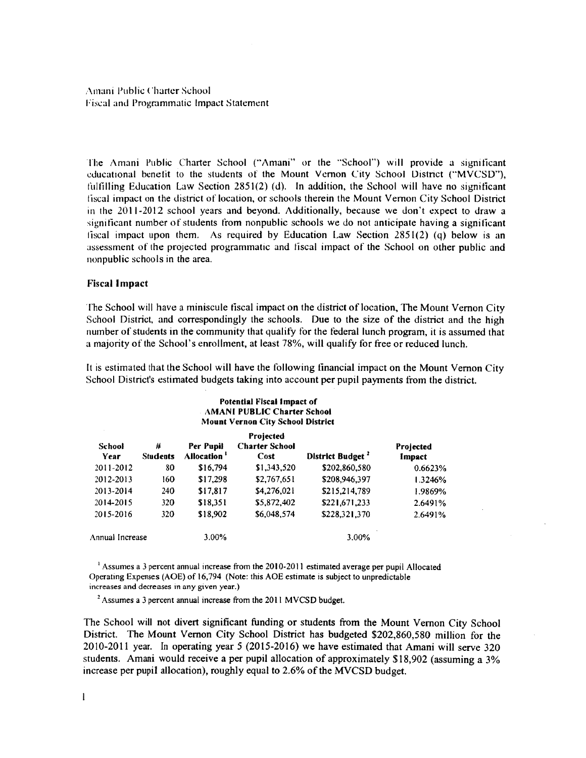The Amani Public Charter School ("Amani" or the "School") will provide a significant educational benefit to the students of the Mount Vernon City School District ("MVCSD"), fulfilling Education Law Section 2851(2) (d). In addition, the School will have no significant fiscal impact on the district of location, or schools therein the Mount Vernon City School District in the 2011-2012 school years and beyond. Additionally, because we don't expect to draw a significant number of students from nonpublic schools we do not anticipate having a significant fiscal impact upon them. As required by Education Law Section 2851(2) (q) below is an assessment of the projected programmatic and fiscal impact of the School on other public and nonpublic schools in the area.

#### **Fiscal Impact**

The School will have a miniscule fiscal impact on the district of location, The Mount Vernon City School District, and correspondingly the schools. Due to the size of the district and the high number of students in the community that qualify for the federal lunch program, it is assumed that a majority of the School's enrollment, at least 78%, will qualify for free or reduced lunch.

It is estimated that the School will have the following financial impact on the Mount Vernon City School District's estimated budgets taking into account per pupil payments from the district.

#### Potential Fiscal Impact of AMANI PUBLIC Charter School **Mount Vernon City School District**

| <b>School</b><br>Year | #<br><b>Students</b> | Per Pupil<br>Allocation ' | Projected<br><b>Charter School</b><br>Cost | District Budget <sup>2</sup> | Projected<br>Impact |
|-----------------------|----------------------|---------------------------|--------------------------------------------|------------------------------|---------------------|
| 2011-2012             | 80                   | \$16,794                  | \$1,343,520                                | \$202,860,580                | 0.6623%             |
| 2012-2013             | 160                  | \$17,298                  | \$2,767,651                                | \$208,946,397                | 1.3246%             |
| 2013-2014             | 240                  | \$17.817                  | \$4,276,021                                | \$215,214,789                | 1.9869%             |
| 2014-2015             | 320                  | \$18,351                  | \$5,872,402                                | \$221,671,233                | 2.6491%             |
| 2015-2016             | 320                  | \$18,902                  | \$6,048,574                                | \$228,321.370                | 2.6491%             |
| Annual Increase       |                      | $3.00\%$                  |                                            | 3.00%                        |                     |

 $\frac{1}{2}$  Assumes a 3 percent annual increase from the 2010-2011 estimated average per pupil Allocated Operating Expenses (AOE) of 16,794 (Note: this AOE estimate is subject to unpredictable increases and decreases in any given year.)

 $2$  Assumes a 3 percent annual increase from the 2011 MVCSD budget.

The School will not divert significant funding or students from the Mount Vernon City School District. The Mount Vernon City School District has budgeted \$202,860,580 million for the 2010-2011 year. In operating year 5 (2015-2016) we have estimated that Amani will serve 320 students. Amani would receive a per pupil allocation of approximately \$18,902 (assuming a 3% increase per pupil allocation), roughly equal to 2.6% of the MVCSD budget.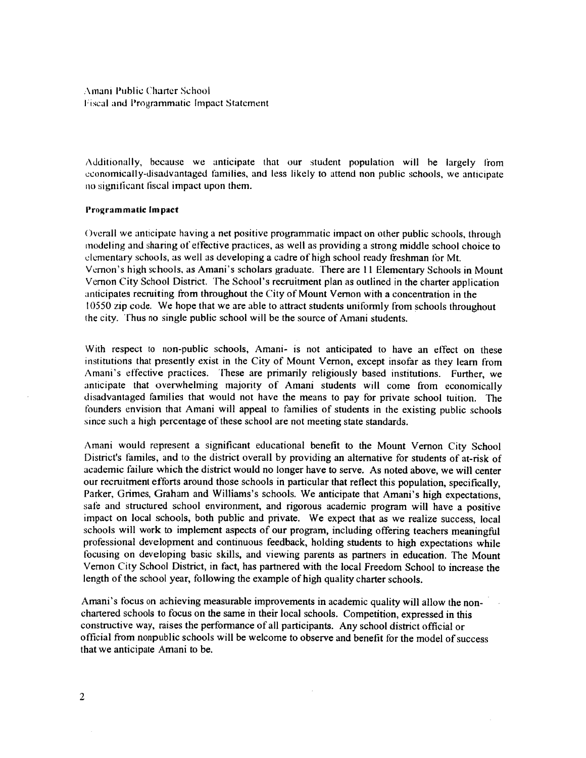Additionally, because we anticipate that our student population will be largely from economically-disadvantaged families, and less likely to attend non public schools, we anticipate no significant fiscal impact upon them.

#### Programmatic Impact

Overall we anticipate having a net positive programmatic impact on other public schools, through modeling and sharing of effective practices, as well as providing a strong middle school choice to elementary schools, as well as developing a cadre of high school ready freshman for Mt. Vernon's high schools, as Amani's scholars graduate. There are 11 Elementary Schools in Mount Vernon City School District. The School's recruitment plan as outlined in the charter application anticipates recruiting from throughout the City of Mount Vernon with a concentration in the 10550 zip code. We hope that we are able to attract students uniformly from schools throughout the city. Thus no single public school will be the source of Amani students.

With respect to non-public schools, Amani- is not anticipated to have an effect on these institutions that presently exist in the City of Mount Vernon, except insofar as they learn from Amani's effective practices. These are primarily religiously based institutions. Further, we anticipate that overwhelming majority of Amani students will come from economically disadvantaged families that would not have the means to pay for private school tuition. The founders envision that Amani will appeal to families of students in the existing public schools since such a high percentage of these school are not meeting state standards.

Amani would represent a significant educational benefit to the Mount Vernon City School District's familes, and to the district overall by providing an alternative for students of at-risk of academic failure which the district would no longer have to serve. As noted above, we will center our recruitment efforts around those schools in particular that reflect this population, specifically, Parker, Grimes, Graham and Williams's schools. We anticipate that Amani's high expectations, safe and structured school environment, and rigorous academic program will have a positive impact on local schools, both public and private. We expect that as we realize success, local schools will work to implement aspects of our program, including offering teachers meaningful professional development and continuous feedback, holding students to high expectations while focusing on developing basic skills, and viewing parents as partners in education. The Mount Vernon City School District, in fact, has partnered with the local Freedom School to increase the length of the school year, following the example of high quality charter schools.

Amani's focus on achieving measurable improvements in academic quality will allow the nonchartered schools to focus on the same in their local schools. Competition, expressed in this constructive way, raises the performance of all participants. Any school district official or official from nonpublic schools will be welcome to observe and benefit for the model of success that we anticipate Amani to be.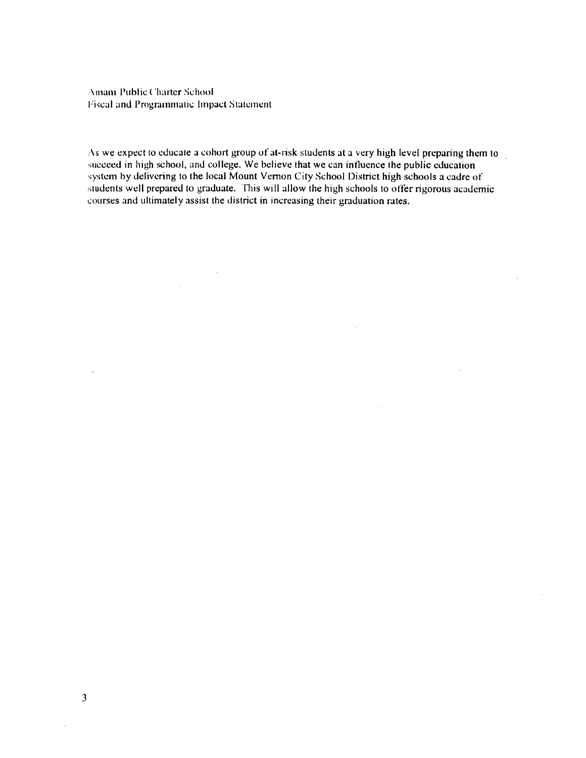$\sim$ 

 $\sim 10^7$ 

As we expect to educate a cohort group of at-risk students at a very high level preparing them to succeed in high school, and college. We believe that we can influence the public education system by delivering to the local Mount Vernon City School District high schools a cadre of students well prepared to graduate. This will allow the high schools to offer rigorous academic courses and ultimately assist the district in increasing their graduation rates.

 $\mathcal{L}$ 

 $\bar{z}$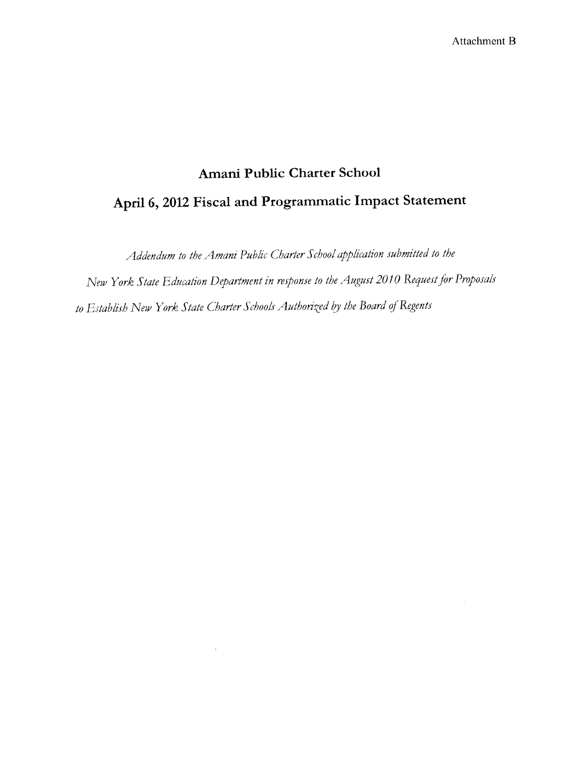Addendum to the Amani Public Charter School application submitted to the

New York State Education Department in response to the August 2010 Request for Proposals to Establish New York State Charter Schools Authorized by the Board of Regents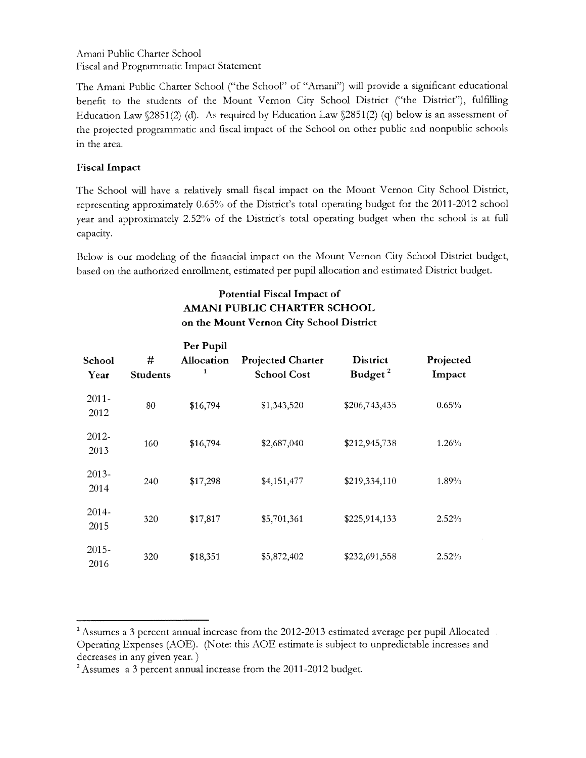The Amani Public Charter School ("the School" of "Amani") will provide a significant educational benefit to the students of the Mount Vernon City School District ("the District"), fulfilling Education Law §2851(2) (d). As required by Education Law §2851(2) (q) below is an assessment of the projected programmatic and fiscal impact of the School on other public and nonpublic schools in the area.

## **Fiscal Impact**

The School will have a relatively small fiscal impact on the Mount Vernon City School District, representing approximately 0.65% of the District's total operating budget for the 2011-2012 school year and approximately 2.52% of the District's total operating budget when the school is at full capacity.

Below is our modeling of the financial impact on the Mount Vernon City School District budget, based on the authorized enrollment, estimated per pupil allocation and estimated District budget.

## **Potential Fiscal Impact of AMANI PUBLIC CHARTER SCHOOL** on the Mount Vernon City School District

| School<br>Year   | #<br><b>Students</b> | Per Pupil<br><b>Allocation</b><br>1 | <b>Projected Charter</b><br><b>School Cost</b> | <b>District</b><br>Budget <sup>2</sup> | Projected<br>Impact |
|------------------|----------------------|-------------------------------------|------------------------------------------------|----------------------------------------|---------------------|
| $2011 -$<br>2012 | 80                   | \$16,794                            | \$1,343,520                                    | \$206,743,435                          | 0.65%               |
| $2012 -$<br>2013 | 160                  | \$16,794                            | \$2,687,040                                    | \$212,945,738                          | $1.26\%$            |
| $2013-$<br>2014  | 240                  | \$17,298                            | \$4,151,477                                    | \$219,334,110                          | 1.89%               |
| $2014 -$<br>2015 | 320                  | \$17,817                            | \$5,701,361                                    | \$225,914,133                          | 2.52%               |
| $2015 -$<br>2016 | 320                  | \$18,351                            | \$5,872,402                                    | \$232,691,558                          | 2.52%               |

<sup>&</sup>lt;sup>1</sup> Assumes a 3 percent annual increase from the 2012-2013 estimated average per pupil Allocated Operating Expenses (AOE). (Note: this AOE estimate is subject to unpredictable increases and decreases in any given year.)

<sup>&</sup>lt;sup>2</sup> Assumes a 3 percent annual increase from the 2011-2012 budget.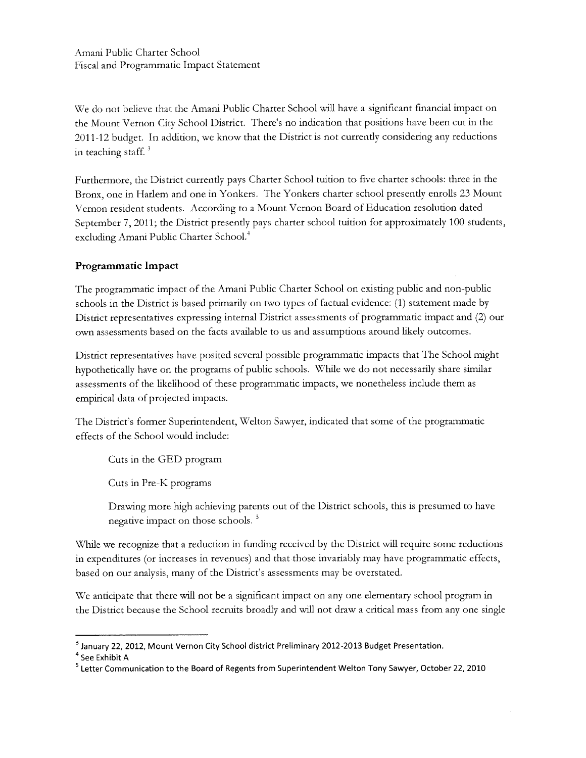We do not believe that the Amani Public Charter School will have a significant financial impact on the Mount Vernon City School District. There's no indication that positions have been cut in the 2011-12 budget. In addition, we know that the District is not currently considering any reductions in teaching staff. $3$ 

Furthermore, the District currently pays Charter School tuition to five charter schools: three in the Bronx, one in Harlem and one in Yonkers. The Yonkers charter school presently enrolls 23 Mount Vernon resident students. According to a Mount Vernon Board of Education resolution dated September 7, 2011; the District presently pays charter school tuition for approximately 100 students, excluding Amani Public Charter School.<sup>+</sup>

## Programmatic Impact

The programmatic impact of the Amani Public Charter School on existing public and non-public schools in the District is based primarily on two types of factual evidence: (1) statement made by District representatives expressing internal District assessments of programmatic impact and (2) our own assessments based on the facts available to us and assumptions around likely outcomes.

District representatives have posited several possible programmatic impacts that The School might hypothetically have on the programs of public schools. While we do not necessarily share similar assessments of the likelihood of these programmatic impacts, we nonetheless include them as empirical data of projected impacts.

The District's former Superintendent, Welton Sawyer, indicated that some of the programmatic effects of the School would include:

Cuts in the GED program

Cuts in Pre-K programs

Drawing more high achieving parents out of the District schools, this is presumed to have negative impact on those schools.<sup>5</sup>

While we recognize that a reduction in funding received by the District will require some reductions in expenditures (or increases in revenues) and that those invariably may have programmatic effects, based on our analysis, many of the District's assessments may be overstated.

We anticipate that there will not be a significant impact on any one elementary school program in the District because the School recruits broadly and will not draw a critical mass from any one single

<sup>&</sup>lt;sup>3</sup> January 22, 2012, Mount Vernon City School district Preliminary 2012-2013 Budget Presentation.

 $^4$  See Exhibit A

<sup>&</sup>lt;sup>5</sup> Letter Communication to the Board of Regents from Superintendent Welton Tony Sawyer, October 22, 2010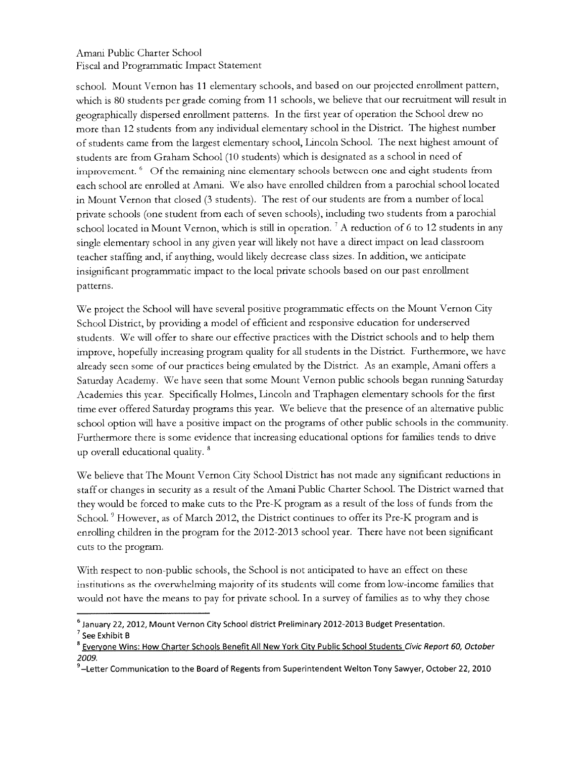school. Mount Vernon has 11 elementary schools, and based on our projected enrollment pattern, which is 80 students per grade coming from 11 schools, we believe that our recruitment will result in geographically dispersed enrollment patterns. In the first year of operation the School drew no more than 12 students from any individual elementary school in the District. The highest number of students came from the largest elementary school, Lincoln School. The next highest amount of students are from Graham School (10 students) which is designated as a school in need of improvement. <sup>6</sup> Of the remaining nine elementary schools between one and eight students from each school are enrolled at Amani. We also have enrolled children from a parochial school located in Mount Vernon that closed (3 students). The rest of our students are from a number of local private schools (one student from each of seven schools), including two students from a parochial school located in Mount Vernon, which is still in operation.<sup>7</sup> A reduction of 6 to 12 students in any single elementary school in any given year will likely not have a direct impact on lead classroom teacher staffing and, if anything, would likely decrease class sizes. In addition, we anticipate insignificant programmatic impact to the local private schools based on our past enrollment patterns.

We project the School will have several positive programmatic effects on the Mount Vernon City School District, by providing a model of efficient and responsive education for underserved students. We will offer to share our effective practices with the District schools and to help them improve, hopefully increasing program quality for all students in the District. Furthermore, we have already seen some of our practices being emulated by the District. As an example, Amani offers a Saturday Academy. We have seen that some Mount Vernon public schools began running Saturday Academies this year. Specifically Holmes, Lincoln and Traphagen elementary schools for the first time ever offered Saturday programs this year. We believe that the presence of an alternative public school option will have a positive impact on the programs of other public schools in the community. Furthermore there is some evidence that increasing educational options for families tends to drive up overall educational quality.<sup>8</sup>

We believe that The Mount Vernon City School District has not made any significant reductions in staff or changes in security as a result of the Amani Public Charter School. The District warned that they would be forced to make cuts to the Pre-K program as a result of the loss of funds from the School. <sup>9</sup> However, as of March 2012, the District continues to offer its Pre-K program and is enrolling children in the program for the 2012-2013 school year. There have not been significant cuts to the program.

With respect to non-public schools, the School is not anticipated to have an effect on these institutions as the overwhelming majority of its students will come from low-income families that would not have the means to pay for private school. In a survey of families as to why they chose

 $^6$  January 22, 2012, Mount Vernon City School district Preliminary 2012-2013 Budget Presentation.

 $^7$  See Exhibit B

<sup>&</sup>lt;sup>8</sup> Everyone Wins: How Charter Schools Benefit All New York City Public School Students Civic Report 60, October 2009.

 $^9$  –Letter Communication to the Board of Regents from Superintendent Welton Tony Sawyer, October 22, 2010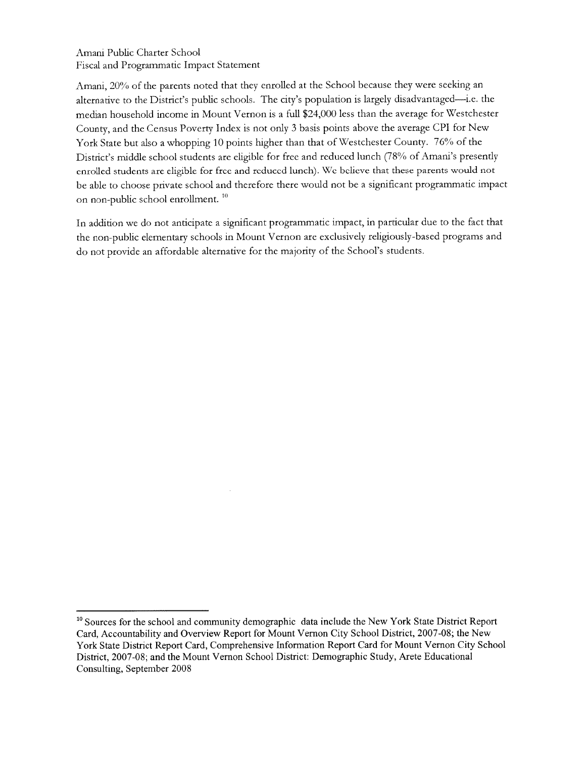Amani, 20% of the parents noted that they enrolled at the School because they were seeking an alternative to the District's public schools. The city's population is largely disadvantaged—i.e. the median household income in Mount Vernon is a full \$24,000 less than the average for Westchester County, and the Census Poverty Index is not only 3 basis points above the average CPI for New York State but also a whopping 10 points higher than that of Westchester County. 76% of the District's middle school students are eligible for free and reduced lunch (78% of Amani's presently enrolled students are eligible for free and reduced lunch). We believe that these parents would not be able to choose private school and therefore there would not be a significant programmatic impact on non-public school enrollment.<sup>10</sup>

In addition we do not anticipate a significant programmatic impact, in particular due to the fact that the non-public elementary schools in Mount Vernon are exclusively religiously-based programs and do not provide an affordable alternative for the majority of the School's students.

<sup>&</sup>lt;sup>10</sup> Sources for the school and community demographic data include the New York State District Report Card, Accountability and Overview Report for Mount Vernon City School District, 2007-08; the New York State District Report Card, Comprehensive Information Report Card for Mount Vernon City School District, 2007-08; and the Mount Vernon School District: Demographic Study, Arete Educational Consulting, September 2008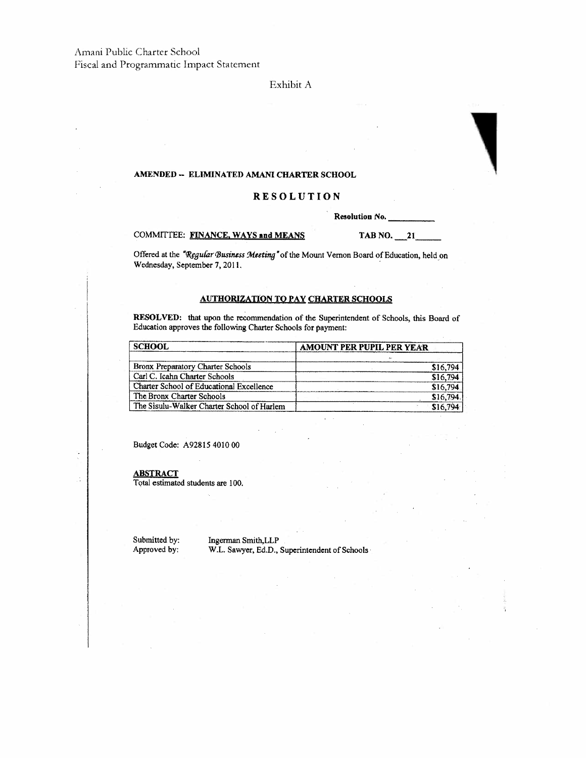#### Exhibit A

#### AMENDED - ELIMINATED AMANI CHARTER SCHOOL

#### **RESOLUTION**

Resolution No.

#### COMMITTEE: FINANCE, WAYS and MEANS

TAB NO.  $21$ 

Offered at the "Regular Business Meeting" of the Mount Vernon Board of Education, held on Wednesday, September 7, 2011.

#### **AUTHORIZATION TO PAY CHARTER SCHOOLS**

RESOLVED: that upon the recommendation of the Superintendent of Schools, this Board of Education approves the following Charter Schools for payment:

| <b>SCHOOL</b>                              | AMOUNT PER PUPIL PER YEAR |  |  |
|--------------------------------------------|---------------------------|--|--|
|                                            |                           |  |  |
| Bronx Preparatory Charter Schools          | \$16,794                  |  |  |
| Carl C. Icahn Charter Schools              | \$16,794                  |  |  |
| Charter School of Educational Excellence   | \$16,794                  |  |  |
| The Bronx Charter Schools                  | \$16,794                  |  |  |
| The Sisulu-Walker Charter School of Harlem | \$16.70                   |  |  |

Budget Code: A92815 4010 00

**ABSTRACT** 

Total estimated students are 100.

Submitted by: Approved by:

Ingerman Smith, LLP W.L. Sawyer, Ed.D., Superintendent of Schools